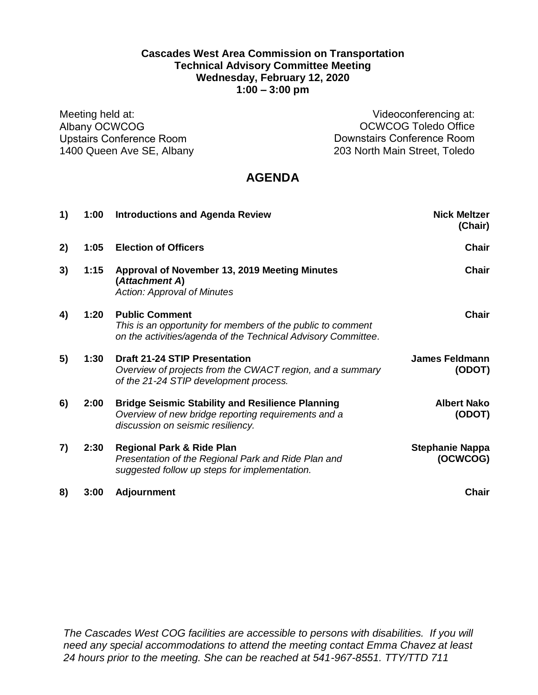## **Cascades West Area Commission on Transportation Technical Advisory Committee Meeting Wednesday, February 12, 2020 1:00 – 3:00 pm**

Meeting held at: Albany OCWCOG Upstairs Conference Room 1400 Queen Ave SE, Albany

Videoconferencing at: OCWCOG Toledo Office Downstairs Conference Room 203 North Main Street, Toledo

# **AGENDA**

| 1) | 1:00 | <b>Introductions and Agenda Review</b>                                                                                                                | <b>Nick Meltzer</b><br>(Chair)     |
|----|------|-------------------------------------------------------------------------------------------------------------------------------------------------------|------------------------------------|
| 2) | 1:05 | <b>Election of Officers</b>                                                                                                                           | <b>Chair</b>                       |
| 3) | 1:15 | Approval of November 13, 2019 Meeting Minutes<br>(Attachment A)<br><b>Action: Approval of Minutes</b>                                                 | <b>Chair</b>                       |
| 4) | 1:20 | <b>Public Comment</b><br>This is an opportunity for members of the public to comment<br>on the activities/agenda of the Technical Advisory Committee. | <b>Chair</b>                       |
| 5) | 1:30 | <b>Draft 21-24 STIP Presentation</b><br>Overview of projects from the CWACT region, and a summary<br>of the 21-24 STIP development process.           | <b>James Feldmann</b><br>(ODOT)    |
| 6) | 2:00 | <b>Bridge Seismic Stability and Resilience Planning</b><br>Overview of new bridge reporting requirements and a<br>discussion on seismic resiliency.   | <b>Albert Nako</b><br>(ODOT)       |
| 7) | 2:30 | <b>Regional Park &amp; Ride Plan</b><br>Presentation of the Regional Park and Ride Plan and<br>suggested follow up steps for implementation.          | <b>Stephanie Nappa</b><br>(OCWCOG) |
| 8) | 3:00 | <b>Adjournment</b>                                                                                                                                    | <b>Chair</b>                       |

*The Cascades West COG facilities are accessible to persons with disabilities. If you will need any special accommodations to attend the meeting contact Emma Chavez at least 24 hours prior to the meeting. She can be reached at 541-967-8551. TTY/TTD 711*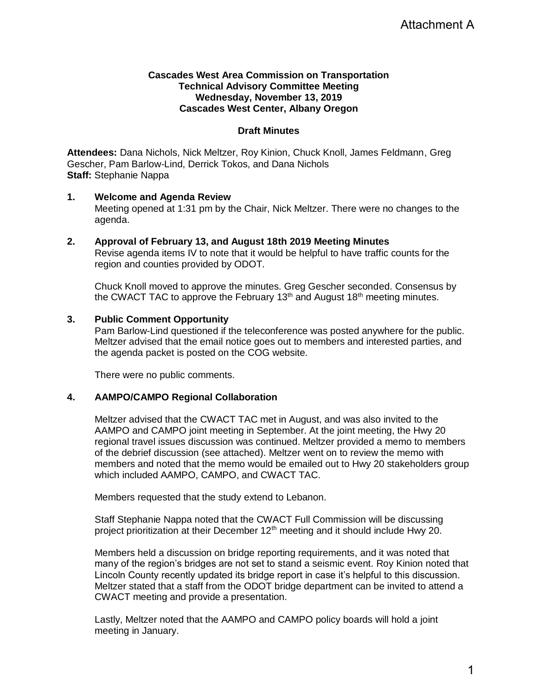## **Cascades West Area Commission on Transportation Technical Advisory Committee Meeting Wednesday, November 13, 2019 Cascades West Center, Albany Oregon**

## **Draft Minutes**

**Attendees:** Dana Nichols, Nick Meltzer, Roy Kinion, Chuck Knoll, James Feldmann, Greg Gescher, Pam Barlow-Lind, Derrick Tokos, and Dana Nichols **Staff:** Stephanie Nappa

#### **1. Welcome and Agenda Review**

Meeting opened at 1:31 pm by the Chair, Nick Meltzer. There were no changes to the agenda.

#### **2. Approval of February 13, and August 18th 2019 Meeting Minutes** Revise agenda items IV to note that it would be helpful to have traffic counts for the region and counties provided by ODOT.

Chuck Knoll moved to approve the minutes. Greg Gescher seconded. Consensus by the CWACT TAC to approve the February 13<sup>th</sup> and August 18<sup>th</sup> meeting minutes.

## **3. Public Comment Opportunity**

Pam Barlow-Lind questioned if the teleconference was posted anywhere for the public. Meltzer advised that the email notice goes out to members and interested parties, and the agenda packet is posted on the COG website.

There were no public comments.

#### **4. AAMPO/CAMPO Regional Collaboration**

Meltzer advised that the CWACT TAC met in August, and was also invited to the AAMPO and CAMPO joint meeting in September. At the joint meeting, the Hwy 20 regional travel issues discussion was continued. Meltzer provided a memo to members of the debrief discussion (see attached). Meltzer went on to review the memo with members and noted that the memo would be emailed out to Hwy 20 stakeholders group which included AAMPO, CAMPO, and CWACT TAC. Attachment A<br>
mann, Greg<br>
thanges to the<br>
unts for the<br>
consensus by<br>
minutes.<br>
Performance of the public.<br>
Example of the Hwy 20<br>
and to members<br>
with the Hwy 20.<br>
Since of that<br>
discussing<br>
By 20.<br>
Sinced that<br>
ited to a

Members requested that the study extend to Lebanon.

Staff Stephanie Nappa noted that the CWACT Full Commission will be discussing project prioritization at their December  $12<sup>th</sup>$  meeting and it should include Hwy 20.

Members held a discussion on bridge reporting requirements, and it was noted that many of the region's bridges are not set to stand a seismic event. Roy Kinion noted that Lincoln County recently updated its bridge report in case it's helpful to this discussion. Meltzer stated that a staff from the ODOT bridge department can be invited to attend a CWACT meeting and provide a presentation.

Lastly, Meltzer noted that the AAMPO and CAMPO policy boards will hold a joint meeting in January.